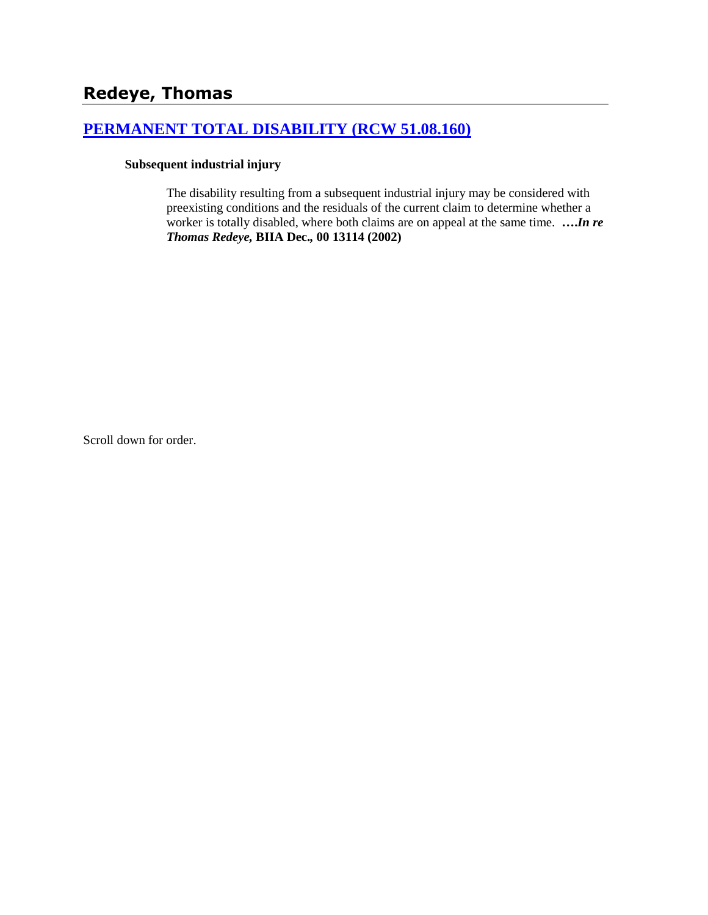# **[PERMANENT TOTAL DISABILITY \(RCW 51.08.160\)](http://www.biia.wa.gov/SDSubjectIndex.html#PERMANENT_TOTAL_DISABILITY)**

#### **Subsequent industrial injury**

The disability resulting from a subsequent industrial injury may be considered with preexisting conditions and the residuals of the current claim to determine whether a worker is totally disabled, where both claims are on appeal at the same time. **….***In re Thomas Redeye,* **BIIA Dec.***,* **00 13114 (2002)**

Scroll down for order.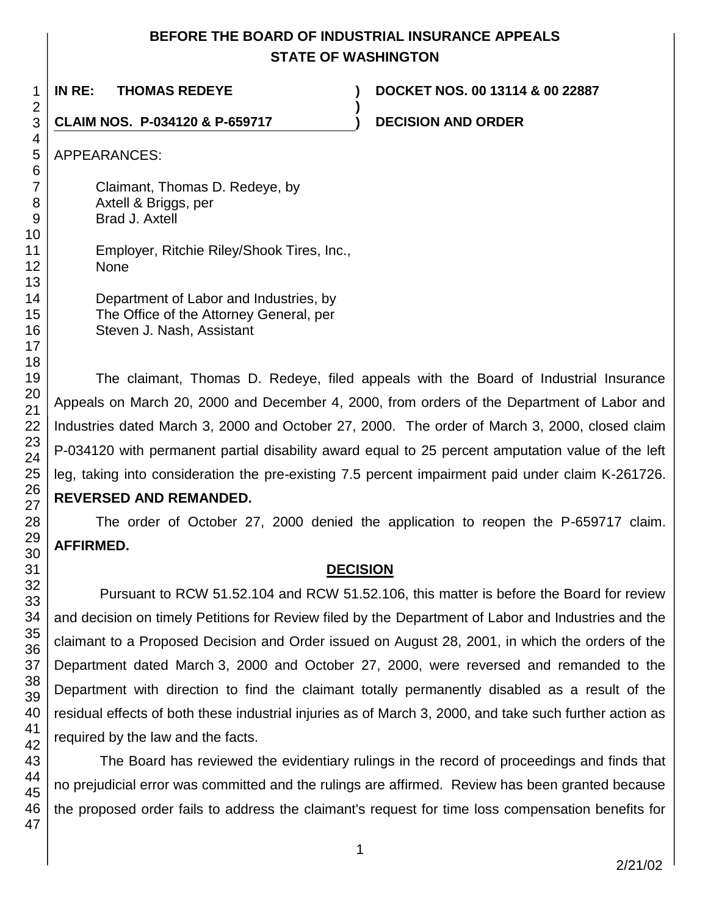# **BEFORE THE BOARD OF INDUSTRIAL INSURANCE APPEALS STATE OF WASHINGTON**

**)**

**IN RE: THOMAS REDEYE ) DOCKET NOS. 00 13114 & 00 22887**

**CLAIM NOS. P-034120 & P-659717 ) DECISION AND ORDER** 

APPEARANCES:

Claimant, Thomas D. Redeye, by Axtell & Briggs, per Brad J. Axtell

Employer, Ritchie Riley/Shook Tires, Inc., None

Department of Labor and Industries, by The Office of the Attorney General, per Steven J. Nash, Assistant

The claimant, Thomas D. Redeye, filed appeals with the Board of Industrial Insurance Appeals on March 20, 2000 and December 4, 2000, from orders of the Department of Labor and Industries dated March 3, 2000 and October 27, 2000. The order of March 3, 2000, closed claim P-034120 with permanent partial disability award equal to 25 percent amputation value of the left leg, taking into consideration the pre-existing 7.5 percent impairment paid under claim K-261726. **REVERSED AND REMANDED.** 

The order of October 27, 2000 denied the application to reopen the P-659717 claim. **AFFIRMED.**

# **DECISION**

Pursuant to RCW 51.52.104 and RCW 51.52.106, this matter is before the Board for review and decision on timely Petitions for Review filed by the Department of Labor and Industries and the claimant to a Proposed Decision and Order issued on August 28, 2001, in which the orders of the Department dated March 3, 2000 and October 27, 2000, were reversed and remanded to the Department with direction to find the claimant totally permanently disabled as a result of the residual effects of both these industrial injuries as of March 3, 2000, and take such further action as required by the law and the facts.

The Board has reviewed the evidentiary rulings in the record of proceedings and finds that no prejudicial error was committed and the rulings are affirmed. Review has been granted because the proposed order fails to address the claimant's request for time loss compensation benefits for

1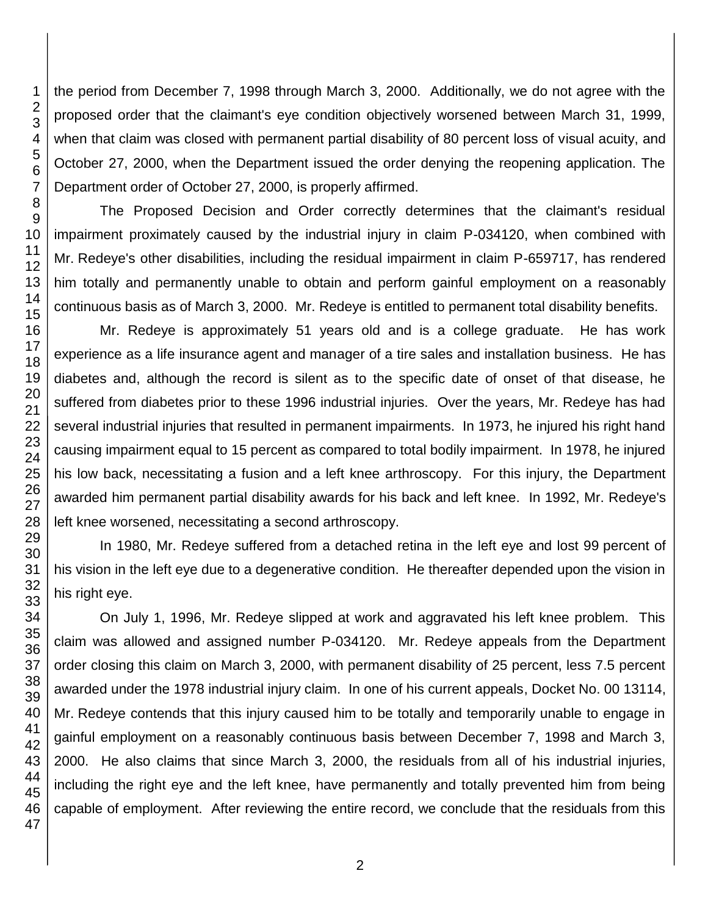the period from December 7, 1998 through March 3, 2000. Additionally, we do not agree with the proposed order that the claimant's eye condition objectively worsened between March 31, 1999, when that claim was closed with permanent partial disability of 80 percent loss of visual acuity, and October 27, 2000, when the Department issued the order denying the reopening application. The Department order of October 27, 2000, is properly affirmed.

The Proposed Decision and Order correctly determines that the claimant's residual impairment proximately caused by the industrial injury in claim P-034120, when combined with Mr. Redeye's other disabilities, including the residual impairment in claim P-659717, has rendered him totally and permanently unable to obtain and perform gainful employment on a reasonably continuous basis as of March 3, 2000. Mr. Redeye is entitled to permanent total disability benefits.

Mr. Redeye is approximately 51 years old and is a college graduate. He has work experience as a life insurance agent and manager of a tire sales and installation business. He has diabetes and, although the record is silent as to the specific date of onset of that disease, he suffered from diabetes prior to these 1996 industrial injuries. Over the years, Mr. Redeye has had several industrial injuries that resulted in permanent impairments. In 1973, he injured his right hand causing impairment equal to 15 percent as compared to total bodily impairment. In 1978, he injured his low back, necessitating a fusion and a left knee arthroscopy. For this injury, the Department awarded him permanent partial disability awards for his back and left knee. In 1992, Mr. Redeye's left knee worsened, necessitating a second arthroscopy.

In 1980, Mr. Redeye suffered from a detached retina in the left eye and lost 99 percent of his vision in the left eye due to a degenerative condition. He thereafter depended upon the vision in his right eye.

On July 1, 1996, Mr. Redeye slipped at work and aggravated his left knee problem. This claim was allowed and assigned number P-034120. Mr. Redeye appeals from the Department order closing this claim on March 3, 2000, with permanent disability of 25 percent, less 7.5 percent awarded under the 1978 industrial injury claim. In one of his current appeals, Docket No. 00 13114, Mr. Redeye contends that this injury caused him to be totally and temporarily unable to engage in gainful employment on a reasonably continuous basis between December 7, 1998 and March 3, 2000. He also claims that since March 3, 2000, the residuals from all of his industrial injuries, including the right eye and the left knee, have permanently and totally prevented him from being capable of employment. After reviewing the entire record, we conclude that the residuals from this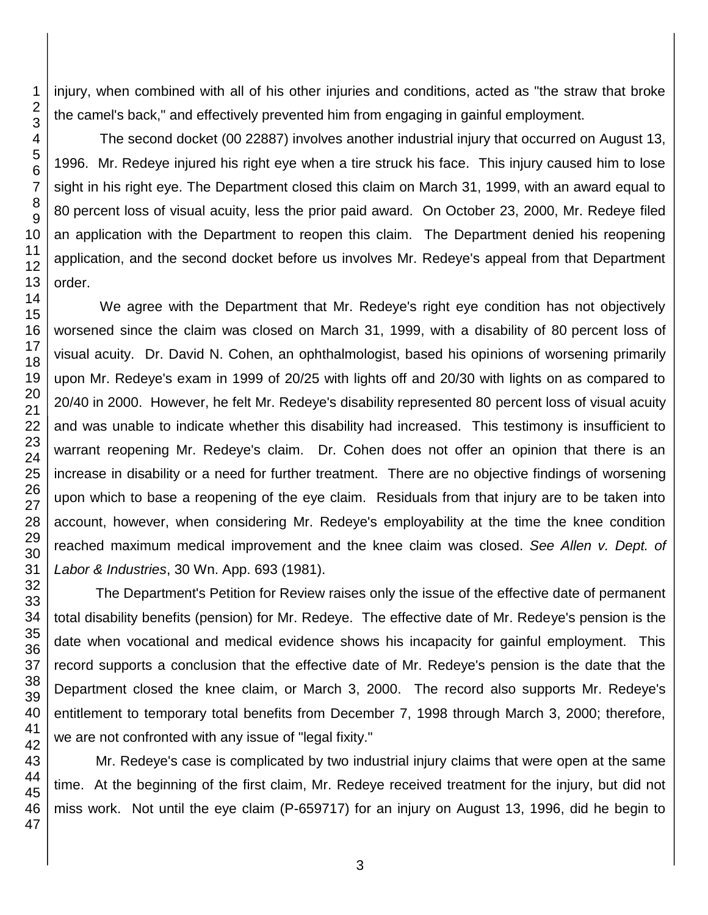injury, when combined with all of his other injuries and conditions, acted as "the straw that broke the camel's back," and effectively prevented him from engaging in gainful employment.

The second docket (00 22887) involves another industrial injury that occurred on August 13, 1996. Mr. Redeye injured his right eye when a tire struck his face. This injury caused him to lose sight in his right eye. The Department closed this claim on March 31, 1999, with an award equal to percent loss of visual acuity, less the prior paid award. On October 23, 2000, Mr. Redeye filed an application with the Department to reopen this claim. The Department denied his reopening application, and the second docket before us involves Mr. Redeye's appeal from that Department order.

We agree with the Department that Mr. Redeye's right eye condition has not objectively worsened since the claim was closed on March 31, 1999, with a disability of 80 percent loss of visual acuity. Dr. David N. Cohen, an ophthalmologist, based his opinions of worsening primarily upon Mr. Redeye's exam in 1999 of 20/25 with lights off and 20/30 with lights on as compared to 20/40 in 2000. However, he felt Mr. Redeye's disability represented 80 percent loss of visual acuity and was unable to indicate whether this disability had increased. This testimony is insufficient to warrant reopening Mr. Redeye's claim. Dr. Cohen does not offer an opinion that there is an increase in disability or a need for further treatment. There are no objective findings of worsening upon which to base a reopening of the eye claim. Residuals from that injury are to be taken into account, however, when considering Mr. Redeye's employability at the time the knee condition reached maximum medical improvement and the knee claim was closed. *See Allen v. Dept. of Labor & Industries*, 30 Wn. App. 693 (1981).

The Department's Petition for Review raises only the issue of the effective date of permanent total disability benefits (pension) for Mr. Redeye. The effective date of Mr. Redeye's pension is the date when vocational and medical evidence shows his incapacity for gainful employment. This record supports a conclusion that the effective date of Mr. Redeye's pension is the date that the Department closed the knee claim, or March 3, 2000. The record also supports Mr. Redeye's entitlement to temporary total benefits from December 7, 1998 through March 3, 2000; therefore, we are not confronted with any issue of "legal fixity."

Mr. Redeye's case is complicated by two industrial injury claims that were open at the same time. At the beginning of the first claim, Mr. Redeye received treatment for the injury, but did not miss work. Not until the eye claim (P-659717) for an injury on August 13, 1996, did he begin to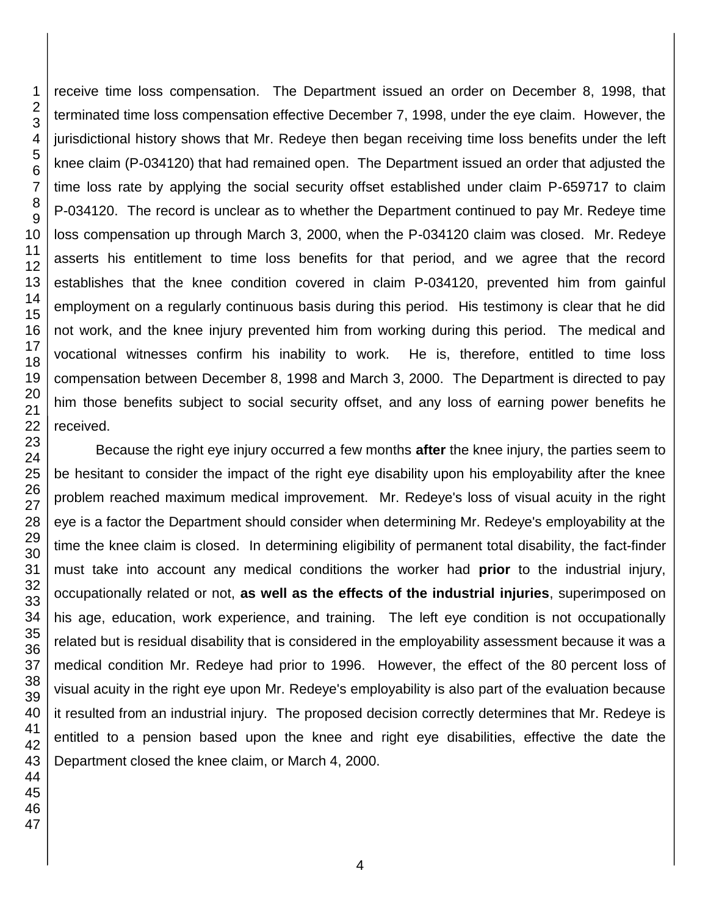receive time loss compensation. The Department issued an order on December 8, 1998, that terminated time loss compensation effective December 7, 1998, under the eye claim. However, the jurisdictional history shows that Mr. Redeye then began receiving time loss benefits under the left knee claim (P-034120) that had remained open. The Department issued an order that adjusted the time loss rate by applying the social security offset established under claim P-659717 to claim P-034120. The record is unclear as to whether the Department continued to pay Mr. Redeye time loss compensation up through March 3, 2000, when the P-034120 claim was closed. Mr. Redeye asserts his entitlement to time loss benefits for that period, and we agree that the record establishes that the knee condition covered in claim P-034120, prevented him from gainful employment on a regularly continuous basis during this period. His testimony is clear that he did not work, and the knee injury prevented him from working during this period. The medical and vocational witnesses confirm his inability to work. He is, therefore, entitled to time loss compensation between December 8, 1998 and March 3, 2000. The Department is directed to pay him those benefits subject to social security offset, and any loss of earning power benefits he received.

Because the right eye injury occurred a few months **after** the knee injury, the parties seem to be hesitant to consider the impact of the right eye disability upon his employability after the knee problem reached maximum medical improvement. Mr. Redeye's loss of visual acuity in the right eye is a factor the Department should consider when determining Mr. Redeye's employability at the time the knee claim is closed. In determining eligibility of permanent total disability, the fact-finder must take into account any medical conditions the worker had **prior** to the industrial injury, occupationally related or not, **as well as the effects of the industrial injuries**, superimposed on his age, education, work experience, and training. The left eye condition is not occupationally related but is residual disability that is considered in the employability assessment because it was a medical condition Mr. Redeye had prior to 1996. However, the effect of the 80 percent loss of visual acuity in the right eye upon Mr. Redeye's employability is also part of the evaluation because it resulted from an industrial injury. The proposed decision correctly determines that Mr. Redeye is entitled to a pension based upon the knee and right eye disabilities, effective the date the Department closed the knee claim, or March 4, 2000.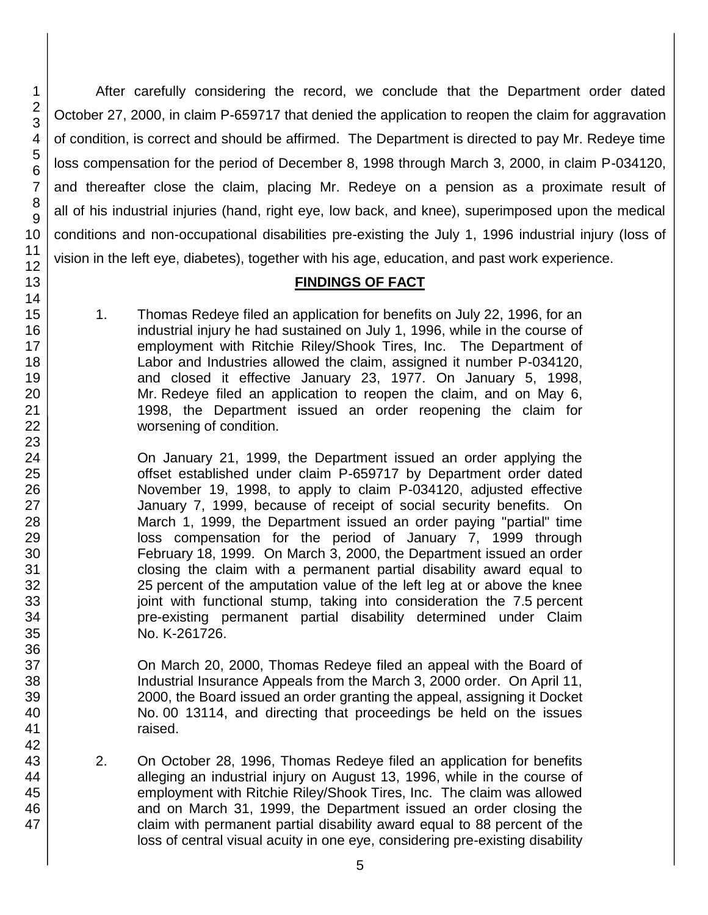After carefully considering the record, we conclude that the Department order dated October 27, 2000, in claim P-659717 that denied the application to reopen the claim for aggravation of condition, is correct and should be affirmed. The Department is directed to pay Mr. Redeye time loss compensation for the period of December 8, 1998 through March 3, 2000, in claim P-034120, and thereafter close the claim, placing Mr. Redeye on a pension as a proximate result of all of his industrial injuries (hand, right eye, low back, and knee), superimposed upon the medical conditions and non-occupational disabilities pre-existing the July 1, 1996 industrial injury (loss of vision in the left eye, diabetes), together with his age, education, and past work experience.

### **FINDINGS OF FACT**

1. Thomas Redeye filed an application for benefits on July 22, 1996, for an industrial injury he had sustained on July 1, 1996, while in the course of employment with Ritchie Riley/Shook Tires, Inc. The Department of Labor and Industries allowed the claim, assigned it number P-034120, and closed it effective January 23, 1977. On January 5, 1998, Mr. Redeye filed an application to reopen the claim, and on May 6, 1998, the Department issued an order reopening the claim for worsening of condition.

On January 21, 1999, the Department issued an order applying the offset established under claim P-659717 by Department order dated November 19, 1998, to apply to claim P-034120, adjusted effective January 7, 1999, because of receipt of social security benefits. On March 1, 1999, the Department issued an order paying "partial" time loss compensation for the period of January 7, 1999 through February 18, 1999. On March 3, 2000, the Department issued an order closing the claim with a permanent partial disability award equal to 25 percent of the amputation value of the left leg at or above the knee joint with functional stump, taking into consideration the 7.5 percent pre-existing permanent partial disability determined under Claim No. K-261726.

On March 20, 2000, Thomas Redeye filed an appeal with the Board of Industrial Insurance Appeals from the March 3, 2000 order. On April 11, 2000, the Board issued an order granting the appeal, assigning it Docket No. 00 13114, and directing that proceedings be held on the issues raised.

2. On October 28, 1996, Thomas Redeye filed an application for benefits alleging an industrial injury on August 13, 1996, while in the course of employment with Ritchie Riley/Shook Tires, Inc. The claim was allowed and on March 31, 1999, the Department issued an order closing the claim with permanent partial disability award equal to 88 percent of the loss of central visual acuity in one eye, considering pre-existing disability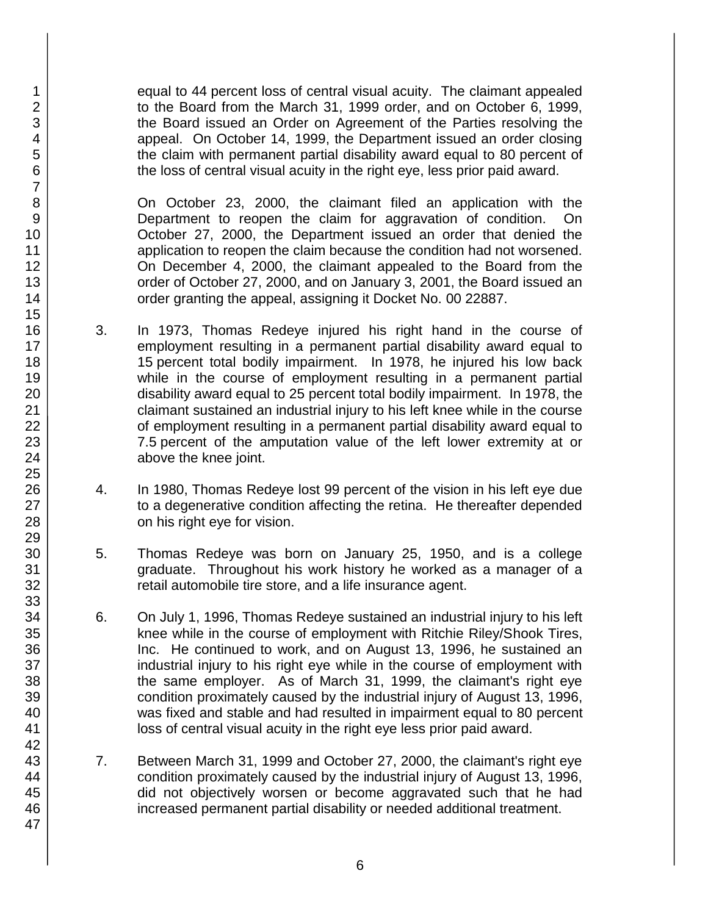equal to 44 percent loss of central visual acuity. The claimant appealed to the Board from the March 31, 1999 order, and on October 6, 1999, the Board issued an Order on Agreement of the Parties resolving the appeal. On October 14, 1999, the Department issued an order closing the claim with permanent partial disability award equal to 80 percent of the loss of central visual acuity in the right eye, less prior paid award.

On October 23, 2000, the claimant filed an application with the Department to reopen the claim for aggravation of condition. On October 27, 2000, the Department issued an order that denied the application to reopen the claim because the condition had not worsened. On December 4, 2000, the claimant appealed to the Board from the order of October 27, 2000, and on January 3, 2001, the Board issued an order granting the appeal, assigning it Docket No. 00 22887.

- 3. In 1973, Thomas Redeye injured his right hand in the course of employment resulting in a permanent partial disability award equal to 15 percent total bodily impairment. In 1978, he injured his low back while in the course of employment resulting in a permanent partial disability award equal to 25 percent total bodily impairment. In 1978, the claimant sustained an industrial injury to his left knee while in the course of employment resulting in a permanent partial disability award equal to 7.5 percent of the amputation value of the left lower extremity at or above the knee joint.
- 4. In 1980, Thomas Redeye lost 99 percent of the vision in his left eye due to a degenerative condition affecting the retina. He thereafter depended on his right eye for vision.
- 5. Thomas Redeye was born on January 25, 1950, and is a college graduate. Throughout his work history he worked as a manager of a retail automobile tire store, and a life insurance agent.
- 6. On July 1, 1996, Thomas Redeye sustained an industrial injury to his left knee while in the course of employment with Ritchie Riley/Shook Tires, Inc. He continued to work, and on August 13, 1996, he sustained an industrial injury to his right eye while in the course of employment with the same employer. As of March 31, 1999, the claimant's right eye condition proximately caused by the industrial injury of August 13, 1996, was fixed and stable and had resulted in impairment equal to 80 percent loss of central visual acuity in the right eye less prior paid award.
- 7. Between March 31, 1999 and October 27, 2000, the claimant's right eye condition proximately caused by the industrial injury of August 13, 1996, did not objectively worsen or become aggravated such that he had increased permanent partial disability or needed additional treatment.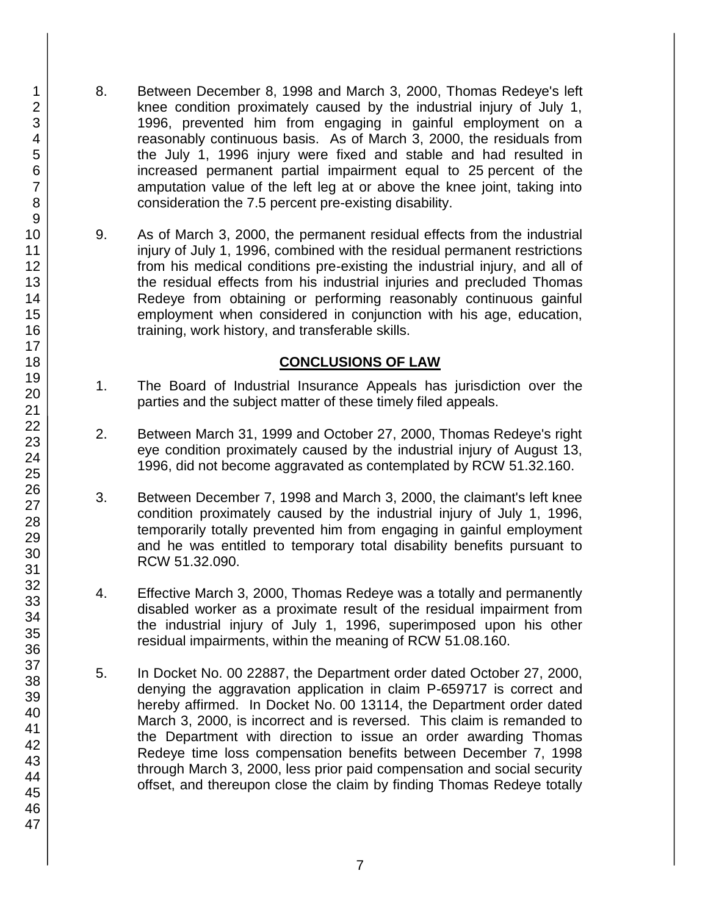- 8. Between December 8, 1998 and March 3, 2000, Thomas Redeye's left knee condition proximately caused by the industrial injury of July 1, 1996, prevented him from engaging in gainful employment on a reasonably continuous basis. As of March 3, 2000, the residuals from the July 1, 1996 injury were fixed and stable and had resulted in increased permanent partial impairment equal to 25 percent of the amputation value of the left leg at or above the knee joint, taking into consideration the 7.5 percent pre-existing disability.
- 9. As of March 3, 2000, the permanent residual effects from the industrial injury of July 1, 1996, combined with the residual permanent restrictions from his medical conditions pre-existing the industrial injury, and all of the residual effects from his industrial injuries and precluded Thomas Redeye from obtaining or performing reasonably continuous gainful employment when considered in conjunction with his age, education, training, work history, and transferable skills.

### **CONCLUSIONS OF LAW**

- 1. The Board of Industrial Insurance Appeals has jurisdiction over the parties and the subject matter of these timely filed appeals.
- 2. Between March 31, 1999 and October 27, 2000, Thomas Redeye's right eye condition proximately caused by the industrial injury of August 13, 1996, did not become aggravated as contemplated by RCW 51.32.160.
- 3. Between December 7, 1998 and March 3, 2000, the claimant's left knee condition proximately caused by the industrial injury of July 1, 1996, temporarily totally prevented him from engaging in gainful employment and he was entitled to temporary total disability benefits pursuant to RCW 51.32.090.
- 4. Effective March 3, 2000, Thomas Redeye was a totally and permanently disabled worker as a proximate result of the residual impairment from the industrial injury of July 1, 1996, superimposed upon his other residual impairments, within the meaning of RCW 51.08.160.
- 5. In Docket No. 00 22887, the Department order dated October 27, 2000, denying the aggravation application in claim P-659717 is correct and hereby affirmed. In Docket No. 00 13114, the Department order dated March 3, 2000, is incorrect and is reversed. This claim is remanded to the Department with direction to issue an order awarding Thomas Redeye time loss compensation benefits between December 7, 1998 through March 3, 2000, less prior paid compensation and social security offset, and thereupon close the claim by finding Thomas Redeye totally